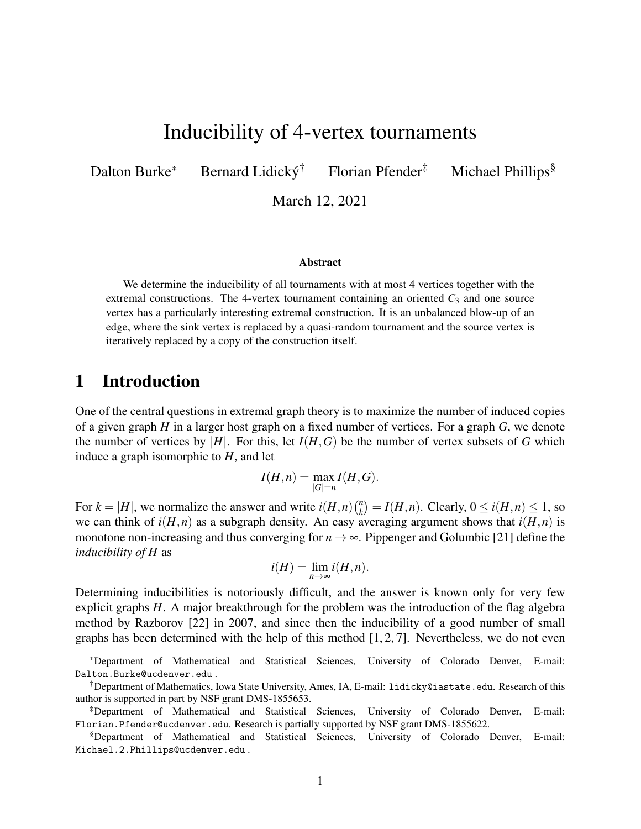# Inducibility of 4-vertex tournaments

Dalton Burke\* Bernard Lidický<sup>†</sup> Florian Pfender<sup>‡</sup> Michael Phillips<sup>§</sup>

March 12, 2021

#### Abstract

We determine the inducibility of all tournaments with at most 4 vertices together with the extremal constructions. The 4-vertex tournament containing an oriented  $C_3$  and one source vertex has a particularly interesting extremal construction. It is an unbalanced blow-up of an edge, where the sink vertex is replaced by a quasi-random tournament and the source vertex is iteratively replaced by a copy of the construction itself.

## 1 Introduction

One of the central questions in extremal graph theory is to maximize the number of induced copies of a given graph *H* in a larger host graph on a fixed number of vertices. For a graph *G*, we denote the number of vertices by  $|H|$ . For this, let  $I(H, G)$  be the number of vertex subsets of *G* which induce a graph isomorphic to *H*, and let

$$
I(H, n) = \max_{|G|=n} I(H, G).
$$

For  $k = |H|$ , we normalize the answer and write  $i(H, n)$  $\binom{n}{k} = I(H, n)$ . Clearly,  $0 \le i(H, n) \le 1$ , so we can think of  $i(H, n)$  as a subgraph density. An easy averaging argument shows that  $i(H, n)$  is monotone non-increasing and thus converging for  $n \to \infty$ . Pippenger and Golumbic [\[21\]](#page-14-0) define the *inducibility of H* as

$$
i(H) = \lim_{n \to \infty} i(H, n).
$$

Determining inducibilities is notoriously difficult, and the answer is known only for very few explicit graphs *H*. A major breakthrough for the problem was the introduction of the flag algebra method by Razborov [\[22\]](#page-14-0) in 2007, and since then the inducibility of a good number of small graphs has been determined with the help of this method [\[1,](#page-13-0) [2,](#page-13-0) [7\]](#page-13-0). Nevertheless, we do not even

<sup>\*</sup>Department of Mathematical and Statistical Sciences, University of Colorado Denver, E-mail: Dalton.Burke@ucdenver.edu .

<sup>†</sup>Department of Mathematics, Iowa State University, Ames, IA, E-mail: lidicky@iastate.edu. Research of this author is supported in part by NSF grant DMS-1855653.

<sup>‡</sup>Department of Mathematical and Statistical Sciences, University of Colorado Denver, E-mail: Florian.Pfender@ucdenver.edu. Research is partially supported by NSF grant DMS-1855622.

<sup>§</sup>Department of Mathematical and Statistical Sciences, University of Colorado Denver, E-mail: Michael.2.Phillips@ucdenver.edu .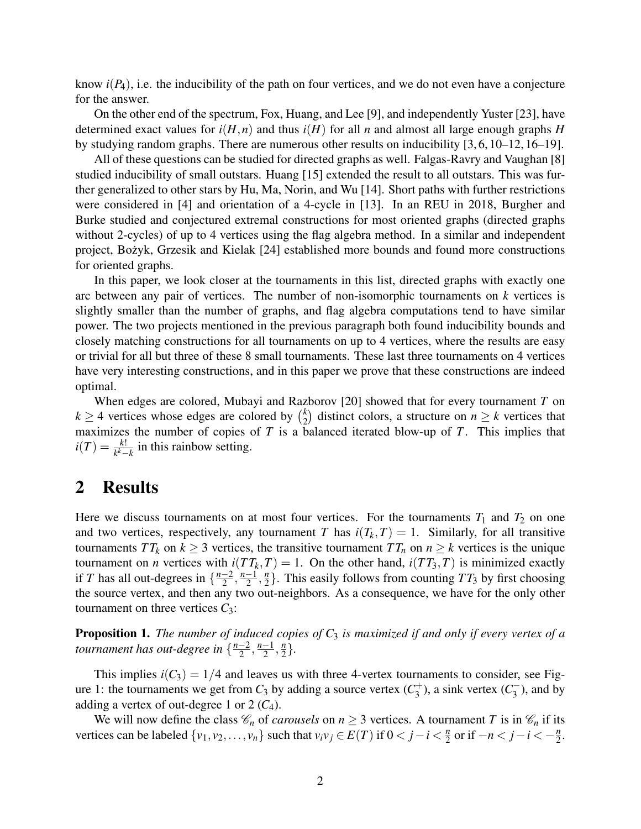<span id="page-1-0"></span>know  $i(P_4)$ , i.e. the inducibility of the path on four vertices, and we do not even have a conjecture for the answer.

On the other end of the spectrum, Fox, Huang, and Lee [\[9\]](#page-13-0), and independently Yuster [\[23\]](#page-14-0), have determined exact values for  $i(H, n)$  and thus  $i(H)$  for all *n* and almost all large enough graphs *H* by studying random graphs. There are numerous other results on inducibility [\[3,](#page-13-0) [6,](#page-13-0) [10–12,](#page-13-0) [16–19\]](#page-14-0).

All of these questions can be studied for directed graphs as well. Falgas-Ravry and Vaughan [\[8\]](#page-13-0) studied inducibility of small outstars. Huang [\[15\]](#page-14-0) extended the result to all outstars. This was further generalized to other stars by Hu, Ma, Norin, and Wu [\[14\]](#page-14-0). Short paths with further restrictions were considered in [\[4\]](#page-13-0) and orientation of a 4-cycle in [\[13\]](#page-14-0). In an REU in 2018, Burgher and Burke studied and conjectured extremal constructions for most oriented graphs (directed graphs without 2-cycles) of up to 4 vertices using the flag algebra method. In a similar and independent project, Bożyk, Grzesik and Kielak [[24\]](#page-14-0) established more bounds and found more constructions for oriented graphs.

In this paper, we look closer at the tournaments in this list, directed graphs with exactly one arc between any pair of vertices. The number of non-isomorphic tournaments on *k* vertices is slightly smaller than the number of graphs, and flag algebra computations tend to have similar power. The two projects mentioned in the previous paragraph both found inducibility bounds and closely matching constructions for all tournaments on up to 4 vertices, where the results are easy or trivial for all but three of these 8 small tournaments. These last three tournaments on 4 vertices have very interesting constructions, and in this paper we prove that these constructions are indeed optimal.

When edges are colored, Mubayi and Razborov [\[20\]](#page-14-0) showed that for every tournament *T* on  $k \geq 4$  vertices whose edges are colored by  $\binom{k}{2}$  $\binom{k}{2}$  distinct colors, a structure on  $n \geq k$  vertices that maximizes the number of copies of *T* is a balanced iterated blow-up of *T*. This implies that  $i(T) = \frac{k!}{k^k - k}$  in this rainbow setting.

## 2 Results

Here we discuss tournaments on at most four vertices. For the tournaments  $T_1$  and  $T_2$  on one and two vertices, respectively, any tournament *T* has  $i(T_k, T) = 1$ . Similarly, for all transitive tournaments  $TT_k$  on  $k \geq 3$  vertices, the transitive tournament  $TT_n$  on  $n \geq k$  vertices is the unique tournament on *n* vertices with  $i(TT_k, T) = 1$ . On the other hand,  $i(TT_3, T)$  is minimized exactly if *T* has all out-degrees in  $\left\{\frac{n-2}{2}\right\}$  $\frac{-2}{2}, \frac{n-1}{2}$  $\frac{-1}{2}, \frac{n}{2}$  $\frac{n}{2}$ . This easily follows from counting  $TT_3$  by first choosing the source vertex, and then any two out-neighbors. As a consequence, we have for the only other tournament on three vertices  $C_3$ :

Proposition 1. *The number of induced copies of C*<sup>3</sup> *is maximized if and only if every vertex of a tournament has out-degree in* { *n*−2  $\frac{-2}{2}, \frac{n-1}{2}$  $\frac{-1}{2}, \frac{n}{2}$  $\frac{n}{2}$ .

This implies  $i(C_3) = 1/4$  and leaves us with three 4-vertex tournaments to consider, see Fig-ure [1:](#page-2-0) the tournaments we get from  $C_3$  by adding a source vertex  $(C_3^+)$  $(s_3^{(+)})$ , a sink vertex  $(C_3^-)$  $\binom{1}{3}$ , and by adding a vertex of out-degree 1 or 2 (*C*4).

We will now define the class  $\mathcal{C}_n$  of *carousels* on  $n \geq 3$  vertices. A tournament *T* is in  $\mathcal{C}_n$  if its vertices can be labeled  $\{v_1, v_2, \ldots, v_n\}$  such that  $v_i v_j \in E(T)$  if  $0 < j - i < \frac{n}{2}$  $\frac{n}{2}$  or if  $-n < j - i < -\frac{n}{2}$  $\frac{n}{2}$ .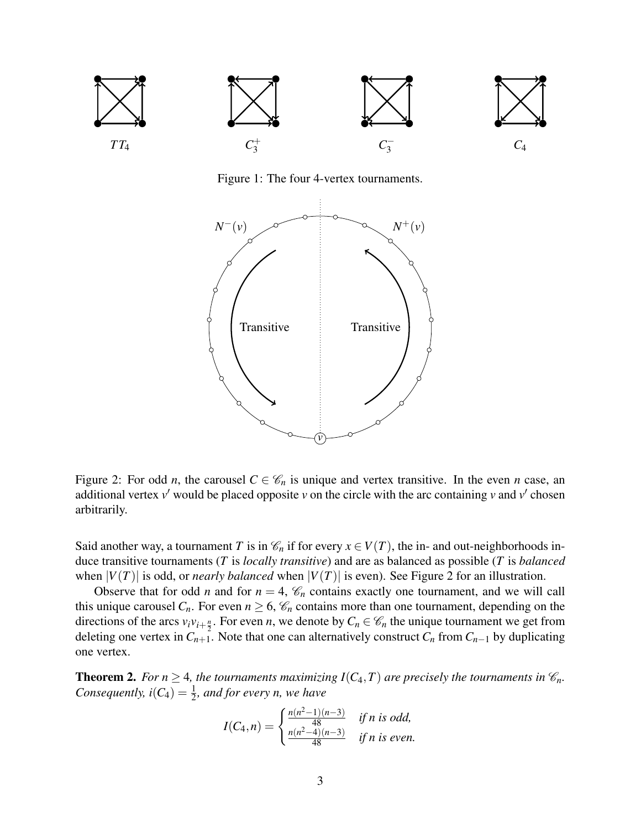<span id="page-2-0"></span>

Figure 1: The four 4-vertex tournaments.



Figure 2: For odd *n*, the carousel  $C \in \mathcal{C}_n$  is unique and vertex transitive. In the even *n* case, an additional vertex  $v'$  would be placed opposite  $v$  on the circle with the arc containing  $v$  and  $v'$  chosen arbitrarily.

Said another way, a tournament *T* is in  $\mathcal{C}_n$  if for every  $x \in V(T)$ , the in- and out-neighborhoods induce transitive tournaments (*T* is *locally transitive*) and are as balanced as possible (*T* is *balanced* when  $|V(T)|$  is odd, or *nearly balanced* when  $|V(T)|$  is even). See Figure 2 for an illustration.

Observe that for odd *n* and for  $n = 4$ ,  $\mathcal{C}_n$  contains exactly one tournament, and we will call this unique carousel  $C_n$ . For even  $n \ge 6$ ,  $\mathcal{C}_n$  contains more than one tournament, depending on the directions of the arcs  $v_i v_{i+\frac{n}{2}}$ . For even *n*, we denote by  $C_n \in \mathcal{C}_n$  the unique tournament we get from deleting one vertex in  $C_{n+1}$ . Note that one can alternatively construct  $C_n$  from  $C_{n-1}$  by duplicating one vertex.

**Theorem 2.** *For n*  $\geq$  4*, the tournaments maximizing I*( $C_4$ , *T*) *are precisely the tournaments in*  $\mathcal{C}_n$ *. Consequently,*  $i(C_4) = \frac{1}{2}$ *, and for every n, we have* 

$$
I(C_4, n) = \begin{cases} \frac{n(n^2 - 1)(n - 3)}{48} & \text{if } n \text{ is odd,} \\ \frac{n(n^2 - 4)(n - 3)}{48} & \text{if } n \text{ is even.} \end{cases}
$$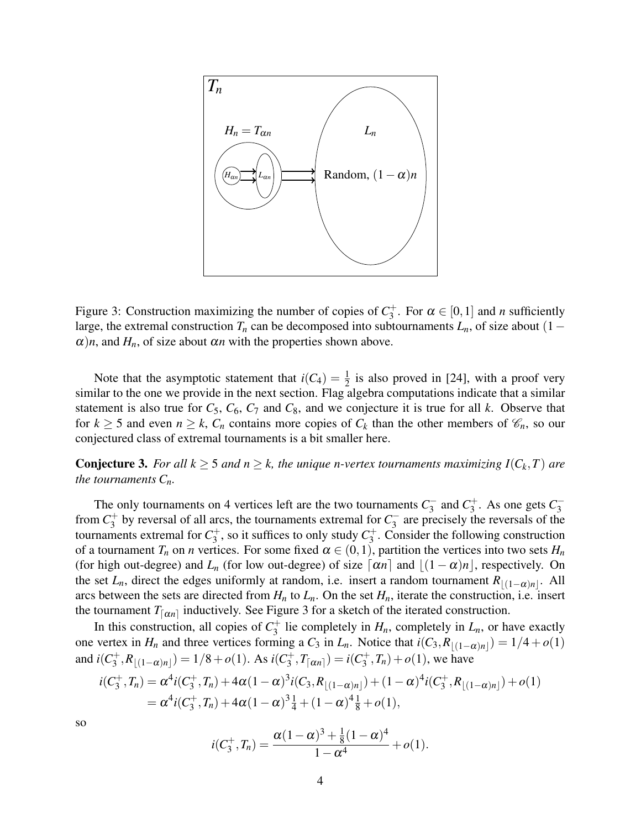<span id="page-3-0"></span>

Figure 3: Construction maximizing the number of copies of  $C_3^+$  $3^+$ . For  $\alpha \in [0,1]$  and *n* sufficiently large, the extremal construction  $T_n$  can be decomposed into subtournaments  $L_n$ , of size about (1 –  $\alpha$ )*n*, and  $H_n$ , of size about  $\alpha$ *n* with the properties shown above.

Note that the asymptotic statement that  $i(C_4) = \frac{1}{2}$  is also proved in [\[24\]](#page-14-0), with a proof very similar to the one we provide in the next section. Flag algebra computations indicate that a similar statement is also true for  $C_5$ ,  $C_6$ ,  $C_7$  and  $C_8$ , and we conjecture it is true for all *k*. Observe that for  $k \ge 5$  and even  $n \ge k$ ,  $C_n$  contains more copies of  $C_k$  than the other members of  $\mathcal{C}_n$ , so our conjectured class of extremal tournaments is a bit smaller here.

**Conjecture 3.** For all  $k \geq 5$  and  $n \geq k$ , the unique n-vertex tournaments maximizing  $I(C_k, T)$  are *the tournaments Cn.*

The only tournaments on 4 vertices left are the two tournaments  $C_3^ \frac{1}{3}$  and  $C_3^+$  $C_3^+$ . As one gets  $C_3^-$ 3 from  $C_3^+$  $\frac{1}{3}$  by reversal of all arcs, the tournaments extremal for  $C_3^ \frac{1}{3}$  are precisely the reversals of the tournaments extremal for  $C_3^+$  $S_3^+$ , so it suffices to only study  $C_3^+$  $3^+$ . Consider the following construction of a tournament  $T_n$  on *n* vertices. For some fixed  $\alpha \in (0,1)$ , partition the vertices into two sets  $H_n$ (for high out-degree) and  $L_n$  (for low out-degree) of size  $\lceil \alpha n \rceil$  and  $\lfloor (1 - \alpha)n \rfloor$ , respectively. On the set *L*<sub>*n*</sub>, direct the edges uniformly at random, i.e. insert a random tournament  $R_{\lfloor(1-\alpha)n\rfloor}$ . All arcs between the sets are directed from  $H_n$  to  $L_n$ . On the set  $H_n$ , iterate the construction, i.e. insert the tournament  $T_{\lfloor \alpha n \rfloor}$  inductively. See Figure 3 for a sketch of the iterated construction.

In this construction, all copies of  $C_3^+$  $J_3^+$  lie completely in  $H_n$ , completely in  $L_n$ , or have exactly one vertex in *H<sub>n</sub>* and three vertices forming a *C*<sub>3</sub> in *L*<sub>*n*</sub>. Notice that  $i(C_3, R_{\lfloor(1-\alpha)n\rfloor}) = 1/4 + o(1)$ and  $i(C_3^+$  $\mathcal{L}_3^+, R_{\lfloor (1-\alpha)n \rfloor}) = 1/8 + o(1)$ . As *i*(*C*<sup>+</sup><sub>3</sub>)  $j_3^+, T_{\lceil \alpha n \rceil}) = i(C_3^+)$  $g_3^{\text{+}}, T_n) + o(1)$ , we have

$$
i(C_3^+, T_n) = \alpha^4 i(C_3^+, T_n) + 4\alpha (1 - \alpha)^3 i(C_3, R_{\lfloor (1 - \alpha)n \rfloor}) + (1 - \alpha)^4 i(C_3^+, R_{\lfloor (1 - \alpha)n \rfloor}) + o(1)
$$
  
=  $\alpha^4 i(C_3^+, T_n) + 4\alpha (1 - \alpha)^3 \frac{1}{4} + (1 - \alpha)^4 \frac{1}{8} + o(1),$ 

so

$$
i(C_3^+, T_n) = \frac{\alpha(1-\alpha)^3 + \frac{1}{8}(1-\alpha)^4}{1-\alpha^4} + o(1).
$$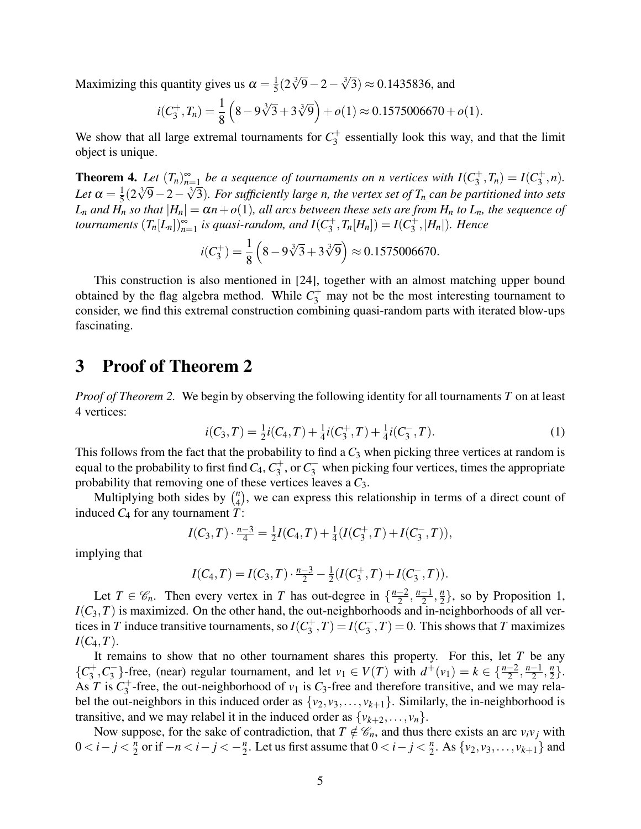<span id="page-4-0"></span>Maximizing this quantity gives us  $\alpha = \frac{1}{5}$  $\frac{1}{5}(2\sqrt[3]{9}-2-\sqrt[3]{3}) \approx 0.1435836$ , and

$$
i(C_3^+, T_n) = \frac{1}{8} \left( 8 - 9\sqrt[3]{3} + 3\sqrt[3]{9} \right) + o(1) \approx 0.1575006670 + o(1).
$$

We show that all large extremal tournaments for  $C_3^+$  $3<sup>+</sup>$  essentially look this way, and that the limit object is unique.

**Theorem 4.** Let  $(T_n)_{n=1}^{\infty}$  be a sequence of tournaments on n vertices with  $I(C_3^+)$  $J_3^+, T_n) = I(C_3^+$  $j^+,n$ . Let  $\alpha = \frac{1}{5}$ **14.** Let  $(n_n)_{n=1}$  be a sequence of tournaments on *n* vertices with  $I(C_3, I_n) - I(C_3, n)$ .<br> $\frac{1}{5}(2\sqrt[3]{9}-2-\sqrt[3]{3})$ . For sufficiently large *n*, the vertex set of  $T_n$  can be partitioned into sets  $L_n$  *and*  $H_n$  *so that*  $|H_n| = \alpha n + o(1)$ *, all arcs between these sets are from*  $H_n$  *to*  $L_n$ *, the sequence of tournaments*  $(T_n[L_n])_{n=1}^{\infty}$  *is quasi-random, and*  $I(C_3^+)$  $J_3^+, T_n[H_n]) = I(C_3^+$ 3 ,|*Hn*|)*. Hence*

$$
i(C_3^+) = \frac{1}{8} \left( 8 - 9\sqrt[3]{3} + 3\sqrt[3]{9} \right) \approx 0.1575006670.
$$

This construction is also mentioned in [\[24\]](#page-14-0), together with an almost matching upper bound obtained by the flag algebra method. While  $C_3^+$  may not be the most interesting tournament to consider, we find this extremal construction combining quasi-random parts with iterated blow-ups fascinating.

## 3 Proof of Theorem [2](#page-2-0)

*Proof of Theorem [2.](#page-2-0)* We begin by observing the following identity for all tournaments *T* on at least 4 vertices:

$$
i(C_3, T) = \frac{1}{2}i(C_4, T) + \frac{1}{4}i(C_3^+, T) + \frac{1}{4}i(C_3^-, T). \tag{1}
$$

This follows from the fact that the probability to find a  $C_3$  when picking three vertices at random is equal to the probability to first find  $C_4$ ,  $C_3^+$  $\frac{1}{3}$ , or  $C_3^-$  when picking four vertices, times the appropriate probability that removing one of these vertices leaves a *C*3.

Multiplying both sides by  $\binom{n}{4}$  $_{4}^{n}$ ), we can express this relationship in terms of a direct count of induced *C*<sup>4</sup> for any tournament *T*:

$$
I(C_3, T) \cdot \frac{n-3}{4} = \frac{1}{2}I(C_4, T) + \frac{1}{4}(I(C_3^+, T) + I(C_3^-, T)),
$$

implying that

$$
I(C_4, T) = I(C_3, T) \cdot \frac{n-3}{2} - \frac{1}{2}(I(C_3^+, T) + I(C_3^-, T)).
$$

Let  $T \in \mathscr{C}_n$ . Then every vertex in *T* has out-degree in  $\{\frac{n-2}{2}\}$  $\frac{-2}{2}, \frac{n-1}{2}$  $\frac{-1}{2}, \frac{n}{2}$  $\frac{n}{2}$ , so by Proposition [1,](#page-1-0)  $I(C_3, T)$  is maximized. On the other hand, the out-neighborhoods and in-neighborhoods of all vertices in *T* induce transitive tournaments, so  $I(C_3^+)$  $J_3^+, T) = I(C_3^-)$  $\binom{1}{3}, T$  = 0. This shows that *T* maximizes  $I(C_4, T)$ .

It remains to show that no other tournament shares this property. For this, let *T* be any  ${C_3^+}$  $\frac{1}{3}$ <sup>+</sup>,  $C_3^ \{3\}$ -free, (near) regular tournament, and let  $v_1 \in V(T)$  with  $d^+(v_1) = k \in \{\frac{n-2}{2}, \frac{n-1}{2}\}$  $\frac{-1}{2}, \frac{n}{2}$  $\frac{n}{2}$ . As *T* is  $C_3^+$  $3^+$ -free, the out-neighborhood of  $v_1$  is  $C_3$ -free and therefore transitive, and we may relabel the out-neighbors in this induced order as  $\{v_2, v_3, \ldots, v_{k+1}\}$ . Similarly, the in-neighborhood is transitive, and we may relabel it in the induced order as  $\{v_{k+2}, \ldots, v_n\}$ .

Now suppose, for the sake of contradiction, that  $T \notin \mathcal{C}_n$ , and thus there exists an arc  $v_i v_j$  with 0 < *i* − *j* <  $\frac{n}{2}$  $\frac{n}{2}$  or if  $-n < i - j < -\frac{n}{2}$  $\frac{n}{2}$ . Let us first assume that  $0 < i - j < \frac{n}{2}$  $\frac{n}{2}$ . As  $\{v_2, v_3, \ldots, v_{k+1}\}$  and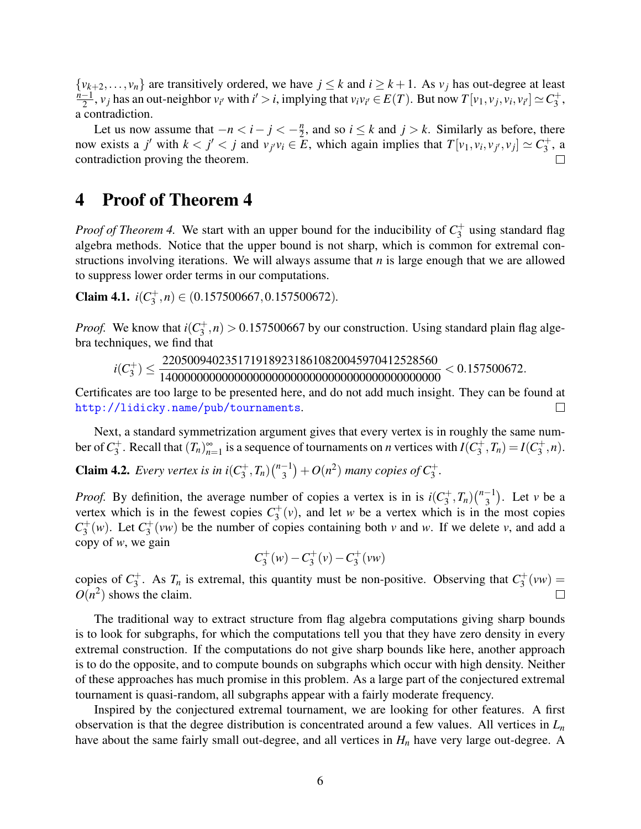<span id="page-5-0"></span> $\{v_{k+2},...,v_n\}$  are transitively ordered, we have  $j \leq k$  and  $i \geq k+1$ . As  $v_j$  has out-degree at least  $\frac{n-1}{n-1}$ ,  $v_j$  has an out-neighbor  $v_j$ , with  $i' > i$  implying that  $v_j v_k \in E(T)$ . But now  $T[v_j, v_j, v_j, v_k] \sim C^+$  $\frac{1}{2}$ ,  $v_j$  has an out-neighbor  $v_{i'}$  with  $i' > i$ , implying that  $v_i v_{i'} \in E(T)$ . But now  $T[v_1, v_j, v_i, v_{i'}] \simeq C_3^+$  $\frac{1}{3}$ , a contradiction.

Let us now assume that  $-n < i - j < -\frac{n}{2}$  $\frac{n}{2}$ , and so  $i \leq k$  and  $j > k$ . Similarly as before, there now exists a j' with  $k < j' < j$  and  $v_{j'}v_i \in \overline{E}$ , which again implies that  $T[v_1, v_i, v_{j'}, v_j] \simeq C_3^+$  $j^+$ , a contradiction proving the theorem.

#### 4 Proof of Theorem [4](#page-4-0)

*Proof of Theorem [4.](#page-4-0)* We start with an upper bound for the inducibility of  $C_3^+$  $j_3^+$  using standard flag algebra methods. Notice that the upper bound is not sharp, which is common for extremal constructions involving iterations. We will always assume that *n* is large enough that we are allowed to suppress lower order terms in our computations.

Claim 4.1.  $i(C_3^+$  $\binom{+}{3}, n \in (0.157500667, 0.157500672).$ 

*Proof.* We know that  $i(C_3^+)$  $\sigma_3^+(n) > 0.157500667$  by our construction. Using standard plain flag algebra techniques, we find that

*i*(*C* + 3 ) ≤ 22050094023517191892318610820045970412528560 140000000000000000000000000000000000000000000 < 0.157500672.

Certificates are too large to be presented here, and do not add much insight. They can be found at <http://lidicky.name/pub/tournaments>.  $\Box$ 

Next, a standard symmetrization argument gives that every vertex is in roughly the same number of  $C_3^+$ <sup>+</sup><sub>3</sub>. Recall that  $(T_n)_{n=1}^{\infty}$  is a sequence of tournaments on *n* vertices with  $I(C_3^+)$  $J_3^+, T_n) = I(C_3^+$  $j^+,n$ .

**Claim 4.2.** *Every vertex is in*  $i(C_3^+)$  $\binom{n+1}{3}$ ,  $T_n$ )  $\binom{n-1}{3}$  $\binom{-1}{3} + O(n^2)$  many copies of  $C_3^+$ .

*Proof.* By definition, the average number of copies a vertex is in is  $i(C_3^+)$  $\binom{n+1}{3}$ ,  $T_n$ )  $\binom{n-1}{3}$  $\binom{-1}{3}$ . Let *v* be a vertex which is in the fewest copies  $C_3^+$  $j^+(v)$ , and let *w* be a vertex which is in the most copies  $C_3^+$  $i_3^+(w)$ . Let  $C_3^+$  $y_3^+(vw)$  be the number of copies containing both *v* and *w*. If we delete *v*, and add a copy of *w*, we gain

$$
C_3^+(w)-C_3^+(v)-C_3^+(vw)\\
$$

copies of *C* + <sup>+</sup><sub>3</sub>. As  $T_n$  is extremal, this quantity must be non-positive. Observing that  $C_3^+$  $j_{3}^{+}(vw) =$  $O(n^2)$  shows the claim.

The traditional way to extract structure from flag algebra computations giving sharp bounds is to look for subgraphs, for which the computations tell you that they have zero density in every extremal construction. If the computations do not give sharp bounds like here, another approach is to do the opposite, and to compute bounds on subgraphs which occur with high density. Neither of these approaches has much promise in this problem. As a large part of the conjectured extremal tournament is quasi-random, all subgraphs appear with a fairly moderate frequency.

Inspired by the conjectured extremal tournament, we are looking for other features. A first observation is that the degree distribution is concentrated around a few values. All vertices in *L<sup>n</sup>* have about the same fairly small out-degree, and all vertices in *H<sup>n</sup>* have very large out-degree. A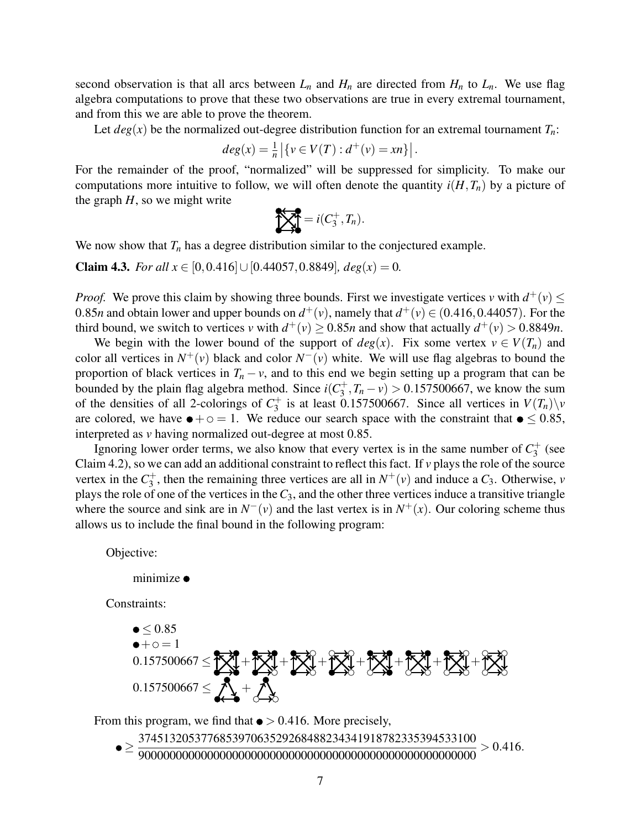<span id="page-6-0"></span>second observation is that all arcs between  $L_n$  and  $H_n$  are directed from  $H_n$  to  $L_n$ . We use flag algebra computations to prove that these two observations are true in every extremal tournament, and from this we are able to prove the theorem.

Let  $deg(x)$  be the normalized out-degree distribution function for an extremal tournament  $T_n$ :

$$
deg(x) = \frac{1}{n} |\{v \in V(T) : d^+(v) = xn\}|.
$$

For the remainder of the proof, "normalized" will be suppressed for simplicity. To make our computations more intuitive to follow, we will often denote the quantity  $i(H, T_n)$  by a picture of the graph  $H$ , so we might write

$$
\sum_{n=1}^{\infty} \sum_{n=1}^{\infty} = i(C_3^+, T_n).
$$

We now show that  $T<sub>n</sub>$  has a degree distribution similar to the conjectured example.

**Claim 4.3.** *For all x* ∈ [0,0.416]∪[0.44057,0.8849]*, deg*(*x*) = 0*.* 

*Proof.* We prove this claim by showing three bounds. First we investigate vertices *v* with  $d^+(v) \leq$ 0.85*n* and obtain lower and upper bounds on  $d^+(v)$ , namely that  $d^+(v) \in (0.416, 0.44057)$ . For the third bound, we switch to vertices *v* with  $d^+(v) \ge 0.85n$  and show that actually  $d^+(v) > 0.8849n$ .

We begin with the lower bound of the support of  $deg(x)$ . Fix some vertex  $v \in V(T_n)$  and color all vertices in  $N^+(v)$  black and color  $N^-(v)$  white. We will use flag algebras to bound the proportion of black vertices in  $T_n - v$ , and to this end we begin setting up a program that can be bounded by the plain flag algebra method. Since  $i(C_3^+)$  $\left( \frac{1}{3}, T_n - v \right) > 0.157500667$ , we know the sum of the densities of all 2-colorings of  $C_3^+$  $i_3^+$  is at least 0.157500667. Since all vertices in  $V(T_n)\backslash \nu$ are colored, we have  $\bullet + \circ = 1$ . We reduce our search space with the constraint that  $\bullet \leq 0.85$ , interpreted as *v* having normalized out-degree at most 0.85.

Ignoring lower order terms, we also know that every vertex is in the same number of  $C_3^+$  $3^+$  (see Claim [4.2\)](#page-5-0), so we can add an additional constraint to reflect this fact. If *v* plays the role of the source vertex in the  $C_3^+$  $S_3^+$ , then the remaining three vertices are all in  $N^+(v)$  and induce a  $C_3$ . Otherwise, *v* plays the role of one of the vertices in the*C*3, and the other three vertices induce a transitive triangle where the source and sink are in  $N^-(v)$  and the last vertex is in  $N^+(x)$ . Our coloring scheme thus allows us to include the final bound in the following program:

Objective:

minimize  $\bullet$ 

Constraints:

$$
0.157500667 \leq 0.85
$$
\n
$$
0.157500667 \leq 0.85
$$
\n
$$
0.157500667 \leq 0.85
$$
\n
$$
0.157500667 \leq 0.85
$$
\n
$$
0.157500667 \leq 0.85
$$

From this program, we find that  $\bullet$  > 0.416. More precisely,

≥ 374513205377685397063529268488234341918782335394533100 900000000000000000000000000000000000000000000000000000  $> 0.416$ .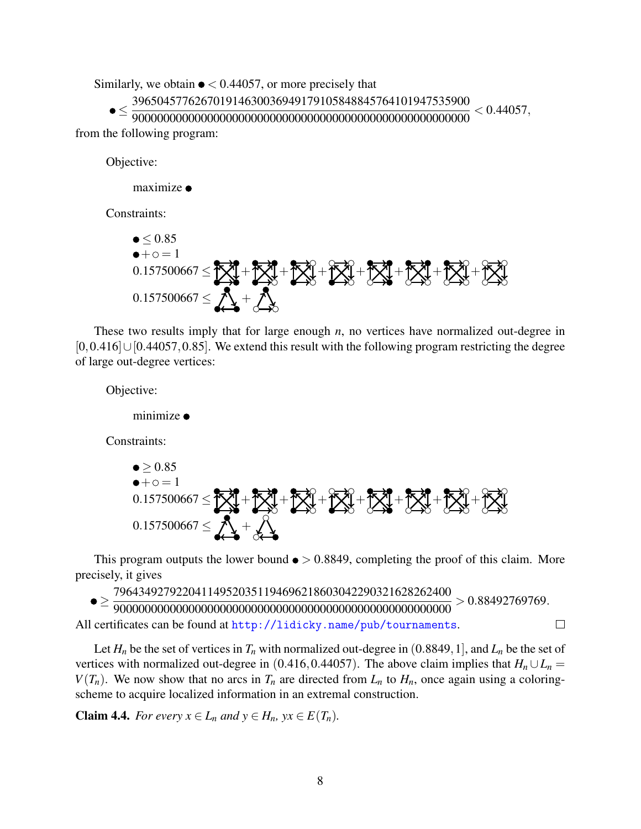<span id="page-7-0"></span>Similarly, we obtain  $\bullet$  < 0.44057, or more precisely that

≤ 396504577626701914630036949179105848845764101947535900 < 0.44057,

900000000000000000000000000000000000000000000000000000 from the following program:

Objective:

 $maximize$ 

Constraints:

$$
0.157500667 \leq 0.85
$$
\n
$$
0.157500667 \leq 0.85
$$
\n
$$
0.157500667 \leq 0.157500667 \leq 0.157500667 \leq 0.157500667 \leq 0.157500667 \leq 0.157500667 \leq 0.157500667 \leq 0.157500667 \leq 0.157500667 \leq 0.157500667 \leq 0.157500667 \leq 0.157500667 \leq 0.157500667 \leq 0.157500667 \leq 0.157500667 \leq 0.157500667 \leq 0.157500667 \leq 0.157500667 \leq 0.157500667 \leq 0.157500667 \leq 0.157500667 \leq 0.157500667 \leq 0.157500667 \leq 0.157500667 \leq 0.157500667 \leq 0.157500667 \leq 0.157500667 \leq 0.157500667 \leq 0.157500667 \leq 0.157500667 \leq 0.157500667 \leq 0.157500667 \leq 0.157500667 \leq 0.157500667 \leq 0.157500667 \leq 0.157500667 \leq 0.157500667 \leq 0.157500667 \leq 0.157500667 \leq 0.157500667 \leq 0.157500667 \leq 0.157500667 \leq 0.157500667 \leq 0.157500667 \leq 0.157500667 \leq 0.157500667 \leq 0.157500667
$$

These two results imply that for large enough *n*, no vertices have normalized out-degree in [0,0.416]∪[0.44057,0.85]. We extend this result with the following program restricting the degree of large out-degree vertices:

Objective:

minimize  $\bullet$ 

Constraints:

$$
0.157500667 \le 20.85
$$
\n
$$
0.157500667 \le 20.85
$$
\n
$$
0.157500667 \le 20.85
$$
\n
$$
0.157500667 \le 20.85
$$
\n
$$
0.157500667 \le 20.85
$$

This program outputs the lower bound  $\bullet > 0.8849$ , completing the proof of this claim. More precisely, it gives

≥ 796434927922041149520351194696218603042290321628262400  $> 0.88492769769.$ 900000000000000000000000000000000000000000000000000000  $\Box$ All certificates can be found at  $http://lidicky.name/public/tournaments.$ 

Let  $H_n$  be the set of vertices in  $T_n$  with normalized out-degree in (0.8849, 1], and  $L_n$  be the set of vertices with normalized out-degree in (0.416,0.44057). The above claim implies that  $H_n \cup L_n =$  $V(T_n)$ . We now show that no arcs in  $T_n$  are directed from  $L_n$  to  $H_n$ , once again using a coloringscheme to acquire localized information in an extremal construction.

**Claim 4.4.** *For every*  $x \in L_n$  *and*  $y \in H_n$ *,*  $yx \in E(T_n)$ *.*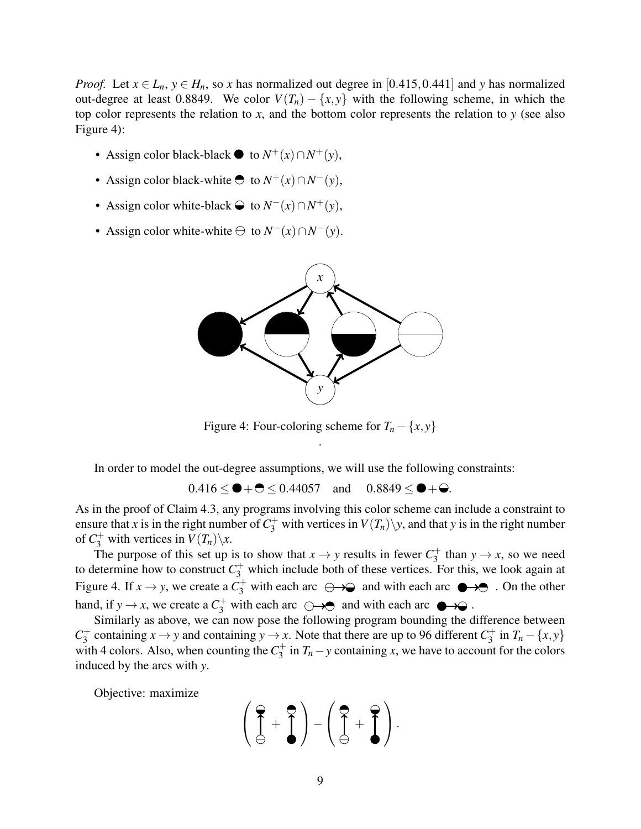*Proof.* Let  $x \in L_n$ ,  $y \in H_n$ , so *x* has normalized out degree in [0.415,0.441] and *y* has normalized out-degree at least 0.8849. We color  $V(T_n) - \{x, y\}$  with the following scheme, in which the top color represents the relation to *x*, and the bottom color represents the relation to *y* (see also Figure 4):

- Assign color black-black  $\bullet$  to *N*<sup>+</sup>(*x*)∩*N*<sup>+</sup>(*y*),
- Assign color black-white  $\bullet$  to  $N^+(x) \cap N^-(y)$ ,
- $\bullet$  Assign color white-black  $\ominus$  to *N*<sup>−</sup>(*x*)∩*N*<sup>+</sup>(*y*),
- $\bullet$  Assign color white-white  $\ominus$  to *N*<sup>−</sup>(*x*)∩*N*<sup>−</sup>(*y*).



Figure 4: Four-coloring scheme for  $T_n - \{x, y\}$ .

In order to model the out-degree assumptions, we will use the following constraints:

 $0.416 < \bullet + \bullet < 0.44057$  and  $0.8849 < \bullet + \bullet$ .

As in the proof of Claim [4.3,](#page-6-0) any programs involving this color scheme can include a constraint to ensure that *x* is in the right number of  $C_3^+$  with vertices in  $V(T_n)\backslash y$ , and that *y* is in the right number of  $C_3^+$  with vertices in  $V(T_n)\backslash x$ .

The purpose of this set up is to show that  $x \to y$  results in fewer  $C_3^+$  $y \rightarrow x$ , so we need to determine how to construct  $C_3^+$  which include both of these vertices. For this, we look again at Figure 4. If  $x \to y$ , we create a  $C_3^+$  with each arc  $\leftrightarrow$  and with each arc  $\bullet \bullet$ . On the other hand, if  $y \to x$ , we create a  $C_3^+$  with each arc  $\ominus \rightarrow \ominus$  and with each arc  $\ominus \rightarrow \ominus$ .

Similarly as above, we can now pose the following program bounding the difference between  $C_3^+$  $S_3^+$  containing  $x \to y$  and containing  $y \to x$ . Note that there are up to 96 different  $C_3^+$  $\int_3^4 \text{ in } T_n - \{x, y\}$ with 4 colors. Also, when counting the  $C_3^+$  $J_3^+$  in  $T_n$  – *y* containing *x*, we have to account for the colors induced by the arcs with *y*.

Objective: maximize

$$
\left(\begin{array}{c}\n\heartsuit \\
\ominus\n\end{array} + \begin{array}{c}\n\heartsuit \\
\ominus\n\end{array}\right) - \left(\begin{array}{c}\n\heartsuit \\
\ominus\n\end{array} + \begin{array}{c}\n\heartsuit \\
\ominus\n\end{array}\right).
$$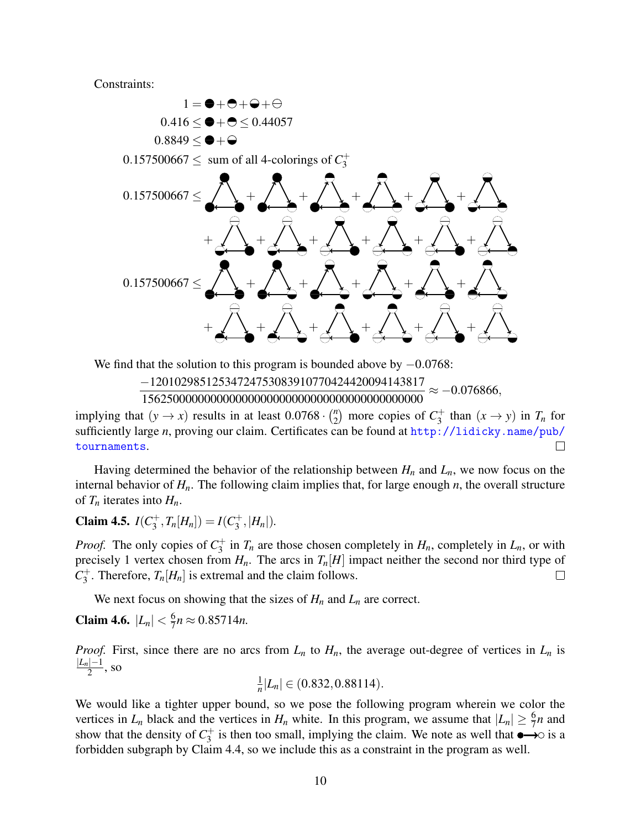<span id="page-9-0"></span>Constraints:



We find that the solution to this program is bounded above by  $-0.0768$ :

−12010298512534724753083910770424420094143817 156250000000000000000000000000000000000000000  $\approx -0.076866,$ 

implying that  $(y \rightarrow x)$  results in at least  $0.0768 \cdot \binom{n}{2}$  $\binom{n}{2}$  more copies of  $C_3^+$  $\int_3^+$  than  $(x \to y)$  in  $T_n$  for sufficiently large *n*, proving our claim. Certificates can be found at [http://lidicky.name/pub/](http://lidicky.name/pub/tournaments) [tournaments](http://lidicky.name/pub/tournaments).  $\Box$ 

Having determined the behavior of the relationship between  $H_n$  and  $L_n$ , we now focus on the internal behavior of *Hn*. The following claim implies that, for large enough *n*, the overall structure of  $T_n$  iterates into  $H_n$ .

Claim 4.5.  $I(C_3^+)$  $J_3^+, T_n[H_n]) = I(C_3^+$  $^{(+)}_{3}$ , |H<sub>n</sub>|).

*Proof.* The only copies of  $C_3^+$  $J_3^+$  in  $T_n$  are those chosen completely in  $H_n$ , completely in  $L_n$ , or with precisely 1 vertex chosen from  $H_n$ . The arcs in  $T_n[H]$  impact neither the second nor third type of  $C_3^+$  $T_3^+$ . Therefore,  $T_n[H_n]$  is extremal and the claim follows.  $\Box$ 

We next focus on showing that the sizes of  $H_n$  and  $L_n$  are correct.

**Claim 4.6.**  $|L_n| < \frac{6}{7}$  $\frac{6}{7}n \approx 0.85714n$ .

*Proof.* First, since there are no arcs from  $L_n$  to  $H_n$ , the average out-degree of vertices in  $L_n$  is |*Ln*|−1  $\frac{1}{2}$ , so

1  $\frac{1}{n}|L_n| \in (0.832, 0.88114).$ 

We would like a tighter upper bound, so we pose the following program wherein we color the vertices in  $L_n$  black and the vertices in  $H_n$  white. In this program, we assume that  $|L_n| \ge \frac{6}{7}n$  and show that the density of  $C_3^+$  $j_3^+$  is then too small, implying the claim. We note as well that  $\bullet \rightarrow \circ$  is a forbidden subgraph by Claim [4.4,](#page-7-0) so we include this as a constraint in the program as well.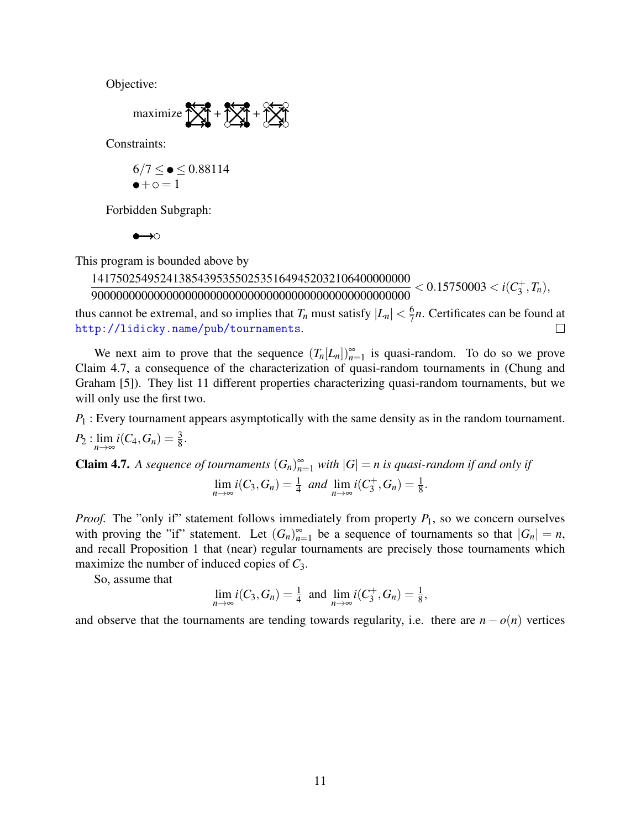<span id="page-10-0"></span>Objective:

$$
\text{maximize } \sum_{i=1}^{N} \mathbf{1} + \sum_{i=1}^{N} \mathbf{1} + \sum_{i=1}^{N} \sum_{i=1}^{N} \mathbf{1}
$$

Constraints:

$$
6/7 \le \bullet \le 0.88114
$$
  

$$
\bullet + \circ = 1
$$

Forbidden Subgraph:

 $\rightarrow \circ$  $\bullet$ 

This program is bounded above by

141750254952413854395355025351649452032106400000000 900000000000000000000000000000000000000000000000000  $< 0.15750003 < i(C<sub>3</sub><sup>+</sup>)$  $j^+, T_n),$ 

thus cannot be extremal, and so implies that  $T_n$  must satisfy  $|L_n| < \frac{6}{7}$  $\frac{6}{7}n$ . Certificates can be found at <http://lidicky.name/pub/tournaments>.  $\Box$ 

We next aim to prove that the sequence  $(T_n[L_n])_{n=1}^{\infty}$  is quasi-random. To do so we prove Claim 4.7, a consequence of the characterization of quasi-random tournaments in (Chung and Graham [\[5\]](#page-13-0)). They list 11 different properties characterizing quasi-random tournaments, but we will only use the first two.

*P*<sub>1</sub> : Every tournament appears asymptotically with the same density as in the random tournament.  $P_2: \lim_{n \to \infty} i(C_4, G_n) = \frac{3}{8}.$ 

**Claim 4.7.** A sequence of tournaments 
$$
(G_n)_{n=1}^{\infty}
$$
 with  $|G| = n$  is quasi-random if and only if 
$$
\lim_{n \to \infty} i(C_3, G_n) = \frac{1}{4}
$$
 and 
$$
\lim_{n \to \infty} i(C_3^+, G_n) = \frac{1}{8}.
$$

*Proof.* The "only if" statement follows immediately from property  $P_1$ , so we concern ourselves with proving the "if" statement. Let  $(G_n)_{n=1}^{\infty}$  be a sequence of tournaments so that  $|G_n| = n$ , and recall Proposition [1](#page-1-0) that (near) regular tournaments are precisely those tournaments which maximize the number of induced copies of *C*3.

So, assume that

$$
\lim_{n \to \infty} i(C_3, G_n) = \frac{1}{4} \text{ and } \lim_{n \to \infty} i(C_3^+, G_n) = \frac{1}{8},
$$

and observe that the tournaments are tending towards regularity, i.e. there are  $n - o(n)$  vertices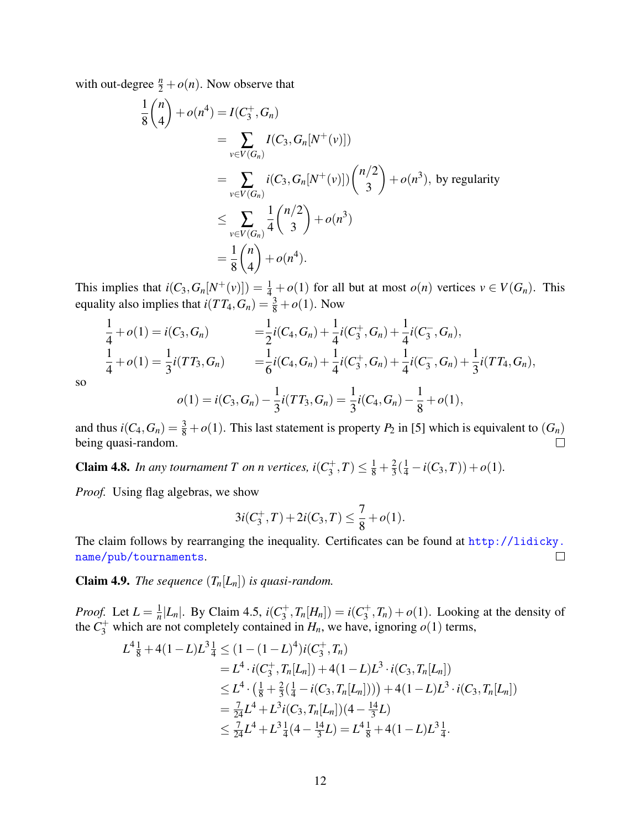<span id="page-11-0"></span>with out-degree  $\frac{n}{2} + o(n)$ . Now observe that

$$
\frac{1}{8} {n \choose 4} + o(n^4) = I(C_3^+, G_n)
$$
  
= 
$$
\sum_{v \in V(G_n)} I(C_3, G_n[N^+(v)])
$$
  
= 
$$
\sum_{v \in V(G_n)} i(C_3, G_n[N^+(v)]) {n/2 \choose 3} + o(n^3), \text{ by regularity}
$$
  

$$
\leq \sum_{v \in V(G_n)} \frac{1}{4} {n/2 \choose 3} + o(n^3)
$$
  
= 
$$
\frac{1}{8} {n \choose 4} + o(n^4).
$$

This implies that  $i(C_3, G_n[N^+(v)]) = \frac{1}{4} + o(1)$  for all but at most  $o(n)$  vertices  $v \in V(G_n)$ . This equality also implies that  $i(TT_4, G_n) = \frac{3}{8} + o(1)$ . Now

$$
\frac{1}{4} + o(1) = i(C_3, G_n) = \frac{1}{2}i(C_4, G_n) + \frac{1}{4}i(C_3^+, G_n) + \frac{1}{4}i(C_3^-, G_n),
$$
  
\n
$$
\frac{1}{4} + o(1) = \frac{1}{3}i(TT_3, G_n) = \frac{1}{6}i(C_4, G_n) + \frac{1}{4}i(C_3^+, G_n) + \frac{1}{4}i(C_3^-, G_n) + \frac{1}{3}i(TT_4, G_n),
$$
  
\n
$$
o(1) = i(C_3, G_n) - \frac{1}{3}i(TT_3, G_n) = \frac{1}{3}i(C_4, G_n) - \frac{1}{8} + o(1),
$$

so

and thus 
$$
i(C_4, G_n) = \frac{3}{8} + o(1)
$$
. This last statement is property  $P_2$  in [5] which is equivalent to  $(G_n)$  being quasi-random.

**Claim 4.8.** In any tournament T on n vertices,  $i(C_3^+)$  $\frac{1}{3}$ , T)  $\leq \frac{1}{8} + \frac{2}{3}$  $\frac{2}{3}(\frac{1}{4}-i(C_3,T))+o(1).$ 

*Proof.* Using flag algebras, we show

$$
3i(C_3^+, T) + 2i(C_3, T) \le \frac{7}{8} + o(1).
$$

The claim follows by rearranging the inequality. Certificates can be found at [http://lidicky.](http://lidicky.name/pub/tournaments) [name/pub/tournaments](http://lidicky.name/pub/tournaments).  $\Box$ 

**Claim 4.9.** *The sequence*  $(T_n[L_n])$  *is quasi-random.* 

*Proof.* Let  $L = \frac{1}{n}$  $\frac{1}{n}|L_n|$ . By Claim [4.5,](#page-9-0) *i*(*C*<sup>+</sup><sub>3</sub>  $j_3^+, T_n[H_n]) = i(C_3^+$  $\sigma_3^+(T_n) + o(1)$ . Looking at the density of the  $C_3^+$  which are not completely contained in  $H_n$ , we have, ignoring  $o(1)$  terms,

$$
L^{4}\frac{1}{8} + 4(1 - L)L^{3}\frac{1}{4} \leq (1 - (1 - L)^{4})i(C_{3}^{+}, T_{n})
$$
  
\n
$$
= L^{4} \cdot i(C_{3}^{+}, T_{n}[L_{n}]) + 4(1 - L)L^{3} \cdot i(C_{3}, T_{n}[L_{n}])
$$
  
\n
$$
\leq L^{4} \cdot \left(\frac{1}{8} + \frac{2}{3}(\frac{1}{4} - i(C_{3}, T_{n}[L_{n}]))\right) + 4(1 - L)L^{3} \cdot i(C_{3}, T_{n}[L_{n}])
$$
  
\n
$$
= \frac{7}{24}L^{4} + L^{3}i(C_{3}, T_{n}[L_{n}])(4 - \frac{14}{3}L)
$$
  
\n
$$
\leq \frac{7}{24}L^{4} + L^{3}\frac{1}{4}(4 - \frac{14}{3}L) = L^{4}\frac{1}{8} + 4(1 - L)L^{3}\frac{1}{4}.
$$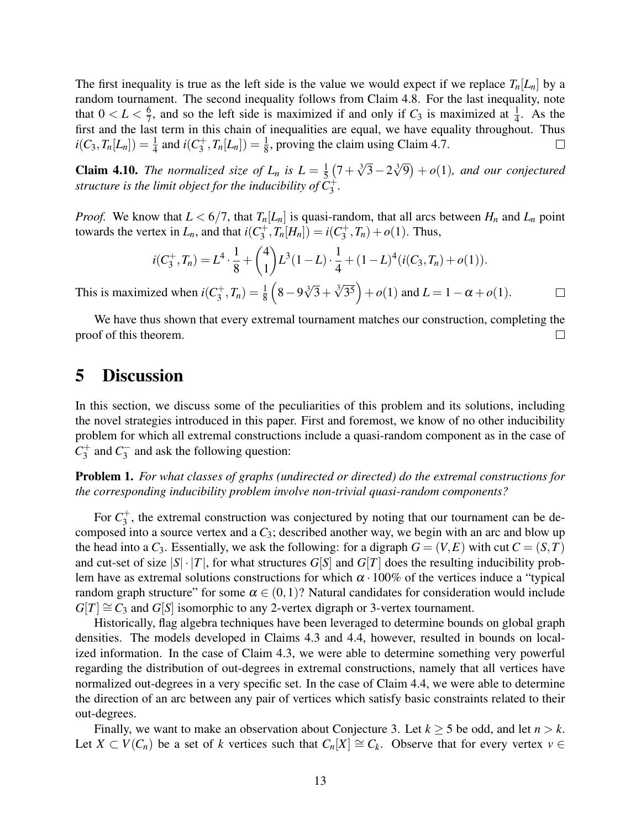The first inequality is true as the left side is the value we would expect if we replace  $T_n[L_n]$  by a random tournament. The second inequality follows from Claim [4.8.](#page-11-0) For the last inequality, note that  $0 < L < \frac{6}{7}$  $\frac{6}{7}$ , and so the left side is maximized if and only if  $C_3$  is maximized at  $\frac{1}{4}$ . As the first and the last term in this chain of inequalities are equal, we have equality throughout. Thus  $i(C_3, T_n[L_n]) = \frac{1}{4}$  and  $i(C_3^+)$  $J_3^+, T_n[L_n]) = \frac{1}{8}$ , proving the claim using Claim [4.7.](#page-10-0)  $\Box$ 

**Claim 4.10.** *The normalized size of*  $L_n$  *is*  $L = \frac{1}{5}$  $\frac{1}{5}(7+\sqrt[3]{3}-2\sqrt[3]{9})+o(1)$ , and our conjectured *structure is the limit object for the inducibility of*  $\check{C}_3^+$ .

*Proof.* We know that  $L < 6/7$ , that  $T_n[L_n]$  is quasi-random, that all arcs between  $H_n$  and  $L_n$  point towards the vertex in  $L_n$ , and that  $i(C_3^+)$  $j_3^+, T_n[H_n]) = i(C_3^+$  $g_3^{\text{+}}, T_n) + o(1)$ . Thus,

$$
i(C_3^+,T_n)=L^4\cdot\frac{1}{8}+\binom{4}{1}L^3(1-L)\cdot\frac{1}{4}+(1-L)^4(i(C_3,T_n)+o(1)).
$$

 $(8-9\sqrt[3]{3} + \sqrt[3]{3^5}) + o(1)$  and  $L = 1 - \alpha + o(1)$ . This is maximized when  $i(C_3^+)$  $J_3^+, T_n) = \frac{1}{8}$  $\Box$ 

We have thus shown that every extremal tournament matches our construction, completing the proof of this theorem.  $\Box$ 

# 5 Discussion

In this section, we discuss some of the peculiarities of this problem and its solutions, including the novel strategies introduced in this paper. First and foremost, we know of no other inducibility problem for which all extremal constructions include a quasi-random component as in the case of  $C_3^+$  $C_3^+$  and  $C_3^ \frac{1}{3}$  and ask the following question:

Problem 1. *For what classes of graphs (undirected or directed) do the extremal constructions for the corresponding inducibility problem involve non-trivial quasi-random components?*

For  $C_3^+$  $3<sub>3</sub>$ , the extremal construction was conjectured by noting that our tournament can be decomposed into a source vertex and a *C*3; described another way, we begin with an arc and blow up the head into a  $C_3$ . Essentially, we ask the following: for a digraph  $G = (V, E)$  with cut  $C = (S, T)$ and cut-set of size  $|S| \cdot |T|$ , for what structures  $G[S]$  and  $G[T]$  does the resulting inducibility problem have as extremal solutions constructions for which  $\alpha \cdot 100\%$  of the vertices induce a "typical" random graph structure" for some  $\alpha \in (0,1)$ ? Natural candidates for consideration would include  $G[T] \cong C_3$  and  $G[S]$  isomorphic to any 2-vertex digraph or 3-vertex tournament.

Historically, flag algebra techniques have been leveraged to determine bounds on global graph densities. The models developed in Claims [4.3](#page-6-0) and [4.4,](#page-7-0) however, resulted in bounds on localized information. In the case of Claim [4.3,](#page-6-0) we were able to determine something very powerful regarding the distribution of out-degrees in extremal constructions, namely that all vertices have normalized out-degrees in a very specific set. In the case of Claim [4.4,](#page-7-0) we were able to determine the direction of an arc between any pair of vertices which satisfy basic constraints related to their out-degrees.

Finally, we want to make an observation about Conjecture [3.](#page-3-0) Let *k* ≥ 5 be odd, and let *n* > *k*. Let  $X \subset V(C_n)$  be a set of *k* vertices such that  $C_n[X] \cong C_k$ . Observe that for every vertex  $v \in$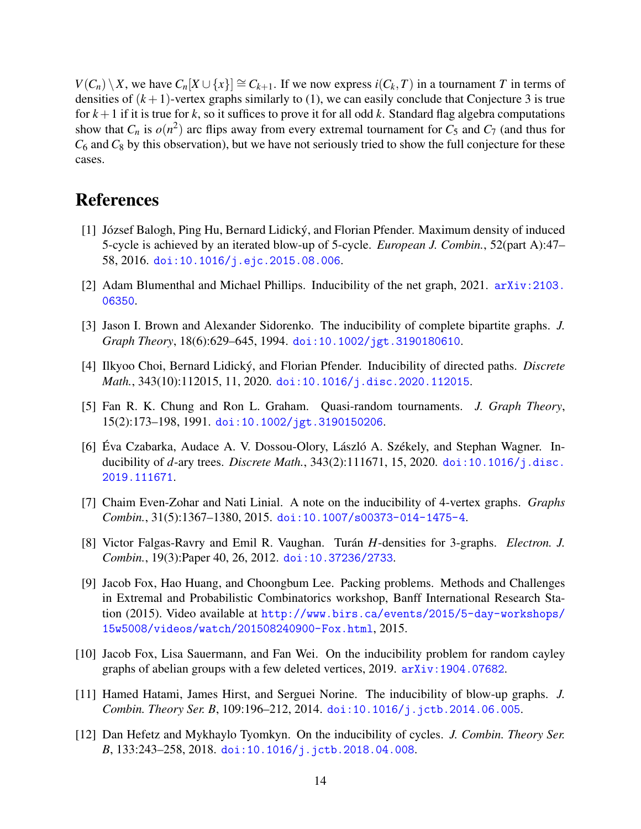<span id="page-13-0"></span>*V*(*C<sub>n</sub>*)  $\setminus$  *X*, we have *C<sub>n</sub>*[*X* ∪ {*x*}] ≅ *C<sub><i>k*+1</sub>. If we now express *i*(*C<sub><i>k*</sub></sub>, *T*) in a tournament *T* in terms of densities of  $(k+1)$ -vertex graphs similarly to [\(1\)](#page-4-0), we can easily conclude that Conjecture [3](#page-3-0) is true for  $k+1$  if it is true for k, so it suffices to prove it for all odd k. Standard flag algebra computations show that  $C_n$  is  $o(n^2)$  arc flips away from every extremal tournament for  $C_5$  and  $C_7$  (and thus for  $C_6$  and  $C_8$  by this observation), but we have not seriously tried to show the full conjecture for these cases.

#### References

- [1] József Balogh, Ping Hu, Bernard Lidický, and Florian Pfender. Maximum density of induced 5-cycle is achieved by an iterated blow-up of 5-cycle. *European J. Combin.*, 52(part A):47– 58, 2016. [doi:10.1016/j.ejc.2015.08.006](https://doi.org/10.1016/j.ejc.2015.08.006).
- [2] Adam Blumenthal and Michael Phillips. Inducibility of the net graph, 2021. [arXiv:2103.](http://arxiv.org/abs/2103.06350) [06350](http://arxiv.org/abs/2103.06350).
- [3] Jason I. Brown and Alexander Sidorenko. The inducibility of complete bipartite graphs. *J. Graph Theory*, 18(6):629–645, 1994. [doi:10.1002/jgt.3190180610](https://doi.org/10.1002/jgt.3190180610).
- [4] Ilkyoo Choi, Bernard Lidický, and Florian Pfender. Inducibility of directed paths. *Discrete Math.*, 343(10):112015, 11, 2020. [doi:10.1016/j.disc.2020.112015](https://doi.org/10.1016/j.disc.2020.112015).
- [5] Fan R. K. Chung and Ron L. Graham. Quasi-random tournaments. *J. Graph Theory*, 15(2):173–198, 1991. [doi:10.1002/jgt.3190150206](https://doi.org/10.1002/jgt.3190150206).
- [6] Éva Czabarka, Audace A. V. Dossou-Olory, László A. Székely, and Stephan Wagner. Inducibility of *d*-ary trees. *Discrete Math.*, 343(2):111671, 15, 2020. [doi:10.1016/j.disc.](https://doi.org/10.1016/j.disc.2019.111671) [2019.111671](https://doi.org/10.1016/j.disc.2019.111671).
- [7] Chaim Even-Zohar and Nati Linial. A note on the inducibility of 4-vertex graphs. *Graphs Combin.*, 31(5):1367–1380, 2015. [doi:10.1007/s00373-014-1475-4](https://doi.org/10.1007/s00373-014-1475-4).
- [8] Victor Falgas-Ravry and Emil R. Vaughan. Turan´ *H*-densities for 3-graphs. *Electron. J. Combin.*, 19(3):Paper 40, 26, 2012. [doi:10.37236/2733](https://doi.org/10.37236/2733).
- [9] Jacob Fox, Hao Huang, and Choongbum Lee. Packing problems. Methods and Challenges in Extremal and Probabilistic Combinatorics workshop, Banff International Research Station (2015). Video available at [http://www.birs.ca/events/2015/5-day-workshops/](http://www.birs.ca/events/2015/5-day-workshops/15w5008/videos/watch/201508240900-Fox.html) [15w5008/videos/watch/201508240900-Fox.html](http://www.birs.ca/events/2015/5-day-workshops/15w5008/videos/watch/201508240900-Fox.html), 2015.
- [10] Jacob Fox, Lisa Sauermann, and Fan Wei. On the inducibility problem for random cayley graphs of abelian groups with a few deleted vertices, 2019. [arXiv:1904.07682](http://arxiv.org/abs/1904.07682).
- [11] Hamed Hatami, James Hirst, and Serguei Norine. The inducibility of blow-up graphs. *J. Combin. Theory Ser. B*, 109:196–212, 2014. [doi:10.1016/j.jctb.2014.06.005](https://doi.org/10.1016/j.jctb.2014.06.005).
- [12] Dan Hefetz and Mykhaylo Tyomkyn. On the inducibility of cycles. *J. Combin. Theory Ser. B*, 133:243–258, 2018. [doi:10.1016/j.jctb.2018.04.008](https://doi.org/10.1016/j.jctb.2018.04.008).